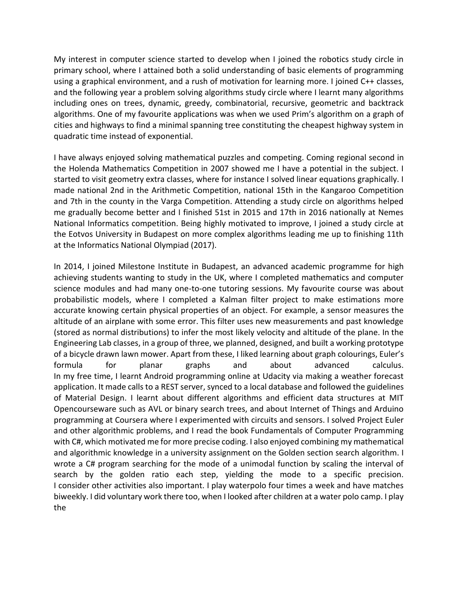My interest in computer science started to develop when I joined the robotics study circle in primary school, where I attained both a solid understanding of basic elements of programming using a graphical environment, and a rush of motivation for learning more. I joined C++ classes, and the following year a problem solving algorithms study circle where I learnt many algorithms including ones on trees, dynamic, greedy, combinatorial, recursive, geometric and backtrack algorithms. One of my favourite applications was when we used Prim's algorithm on a graph of cities and highways to find a minimal spanning tree constituting the cheapest highway system in quadratic time instead of exponential.

I have always enjoyed solving mathematical puzzles and competing. Coming regional second in the Holenda Mathematics Competition in 2007 showed me I have a potential in the subject. I started to visit geometry extra classes, where for instance I solved linear equations graphically. I made national 2nd in the Arithmetic Competition, national 15th in the Kangaroo Competition and 7th in the county in the Varga Competition. Attending a study circle on algorithms helped me gradually become better and I finished 51st in 2015 and 17th in 2016 nationally at Nemes National Informatics competition. Being highly motivated to improve, I joined a study circle at the Eotvos University in Budapest on more complex algorithms leading me up to finishing 11th at the Informatics National Olympiad (2017).

In 2014, I joined Milestone Institute in Budapest, an advanced academic programme for high achieving students wanting to study in the UK, where I completed mathematics and computer science modules and had many one-to-one tutoring sessions. My favourite course was about probabilistic models, where I completed a Kalman filter project to make estimations more accurate knowing certain physical properties of an object. For example, a sensor measures the altitude of an airplane with some error. This filter uses new measurements and past knowledge (stored as normal distributions) to infer the most likely velocity and altitude of the plane. In the Engineering Lab classes, in a group of three, we planned, designed, and built a working prototype of a bicycle drawn lawn mower. Apart from these, I liked learning about graph colourings, Euler's formula for planar graphs and about advanced calculus. In my free time, I learnt Android programming online at Udacity via making a weather forecast application. It made calls to a REST server, synced to a local database and followed the guidelines of Material Design. I learnt about different algorithms and efficient data structures at MIT Opencourseware such as AVL or binary search trees, and about Internet of Things and Arduino programming at Coursera where I experimented with circuits and sensors. I solved Project Euler and other algorithmic problems, and I read the book Fundamentals of Computer Programming with C#, which motivated me for more precise coding. I also enjoyed combining my mathematical and algorithmic knowledge in a university assignment on the Golden section search algorithm. I wrote a C# program searching for the mode of a unimodal function by scaling the interval of search by the golden ratio each step, yielding the mode to a specific precision. I consider other activities also important. I play waterpolo four times a week and have matches biweekly. I did voluntary work there too, when I looked after children at a water polo camp. I play the